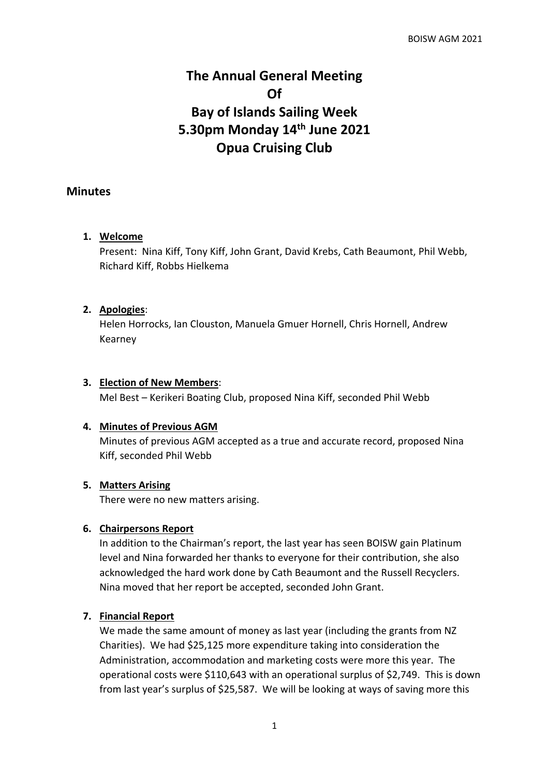# **The Annual General Meeting Of Bay of Islands Sailing Week 5.30pm Monday 14th June 2021 Opua Cruising Club**

## **Minutes**

### **1. Welcome**

Present: Nina Kiff, Tony Kiff, John Grant, David Krebs, Cath Beaumont, Phil Webb, Richard Kiff, Robbs Hielkema

### **2. Apologies**:

Helen Horrocks, Ian Clouston, Manuela Gmuer Hornell, Chris Hornell, Andrew Kearney

#### **3. Election of New Members**:

Mel Best – Kerikeri Boating Club, proposed Nina Kiff, seconded Phil Webb

### **4. Minutes of Previous AGM**

Minutes of previous AGM accepted as a true and accurate record, proposed Nina Kiff, seconded Phil Webb

### **5. Matters Arising**

There were no new matters arising.

### **6. Chairpersons Report**

In addition to the Chairman's report, the last year has seen BOISW gain Platinum level and Nina forwarded her thanks to everyone for their contribution, she also acknowledged the hard work done by Cath Beaumont and the Russell Recyclers. Nina moved that her report be accepted, seconded John Grant.

### **7. Financial Report**

We made the same amount of money as last year (including the grants from NZ Charities). We had \$25,125 more expenditure taking into consideration the Administration, accommodation and marketing costs were more this year. The operational costs were \$110,643 with an operational surplus of \$2,749. This is down from last year's surplus of \$25,587. We will be looking at ways of saving more this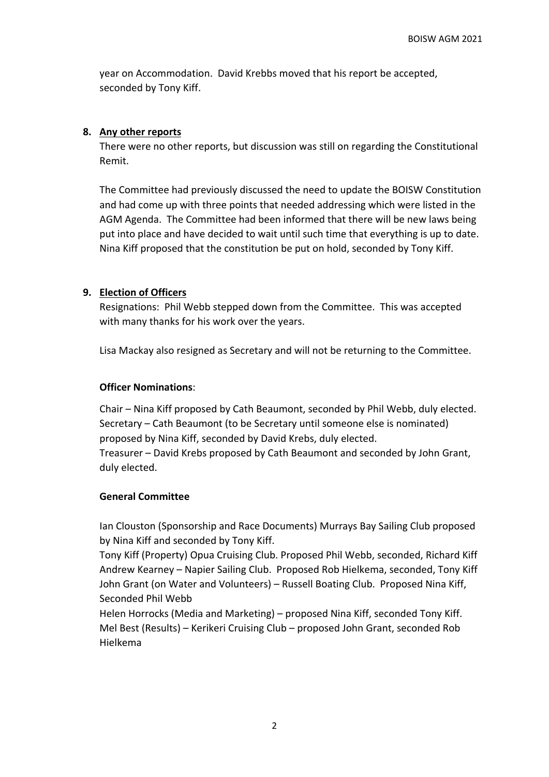year on Accommodation. David Krebbs moved that his report be accepted, seconded by Tony Kiff.

## **8. Any other reports**

There were no other reports, but discussion was still on regarding the Constitutional Remit.

The Committee had previously discussed the need to update the BOISW Constitution and had come up with three points that needed addressing which were listed in the AGM Agenda. The Committee had been informed that there will be new laws being put into place and have decided to wait until such time that everything is up to date. Nina Kiff proposed that the constitution be put on hold, seconded by Tony Kiff.

## **9. Election of Officers**

Resignations: Phil Webb stepped down from the Committee. This was accepted with many thanks for his work over the years.

Lisa Mackay also resigned as Secretary and will not be returning to the Committee.

## **Officer Nominations**:

Chair – Nina Kiff proposed by Cath Beaumont, seconded by Phil Webb, duly elected. Secretary – Cath Beaumont (to be Secretary until someone else is nominated) proposed by Nina Kiff, seconded by David Krebs, duly elected. Treasurer – David Krebs proposed by Cath Beaumont and seconded by John Grant, duly elected.

## **General Committee**

Ian Clouston (Sponsorship and Race Documents) Murrays Bay Sailing Club proposed by Nina Kiff and seconded by Tony Kiff.

Tony Kiff (Property) Opua Cruising Club. Proposed Phil Webb, seconded, Richard Kiff Andrew Kearney – Napier Sailing Club. Proposed Rob Hielkema, seconded, Tony Kiff John Grant (on Water and Volunteers) – Russell Boating Club. Proposed Nina Kiff, Seconded Phil Webb

Helen Horrocks (Media and Marketing) – proposed Nina Kiff, seconded Tony Kiff. Mel Best (Results) – Kerikeri Cruising Club – proposed John Grant, seconded Rob Hielkema